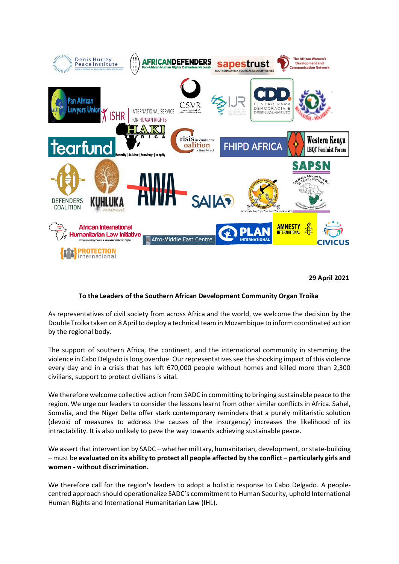

**29 April 2021**

# **To the Leaders of the Southern African Development Community Organ Troika**

As representatives of civil society from across Africa and the world, we welcome the decision by the Double Troika taken on 8 April to deploy a technical team in Mozambique to inform coordinated action by the regional body.

The support of southern Africa, the continent, and the international community in stemming the violence in Cabo Delgado is long overdue. Our representatives see the shocking impact of this violence every day and in a crisis that has left 670,000 people without homes and killed more than 2,300 civilians, support to protect civilians is vital.

We therefore welcome collective action from SADC in committing to bringing sustainable peace to the region. We urge our leaders to consider the lessons learnt from other similar conflicts in Africa. Sahel, Somalia, and the Niger Delta offer stark contemporary reminders that a purely militaristic solution (devoid of measures to address the causes of the insurgency) increases the likelihood of its intractability. It is also unlikely to pave the way towards achieving sustainable peace.

We assert that intervention by SADC – whether military, humanitarian, development, or state-building – must be **evaluated on its ability to protect all people affected by the conflict – particularly girls and women - without discrimination.**

We therefore call for the region's leaders to adopt a holistic response to Cabo Delgado. A peoplecentred approach should operationalize SADC's commitment to Human Security, uphold International Human Rights and International Humanitarian Law (IHL).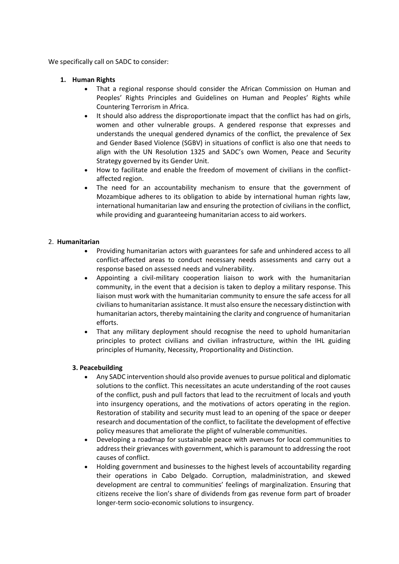We specifically call on SADC to consider:

- **1. Human Rights**
	- That a regional response should consider the African Commission on Human and Peoples' Rights Principles and Guidelines on Human and Peoples' Rights while Countering Terrorism in Africa.
	- It should also address the disproportionate impact that the conflict has had on girls. women and other vulnerable groups. A gendered response that expresses and understands the unequal gendered dynamics of the conflict, the prevalence of Sex and Gender Based Violence (SGBV) in situations of conflict is also one that needs to align with the UN Resolution 1325 and SADC's own Women, Peace and Security Strategy governed by its Gender Unit.
	- How to facilitate and enable the freedom of movement of civilians in the conflictaffected region.
	- The need for an accountability mechanism to ensure that the government of Mozambique adheres to its obligation to abide by international human rights law, international humanitarian law and ensuring the protection of civilians in the conflict, while providing and guaranteeing humanitarian access to aid workers.

### 2. **Humanitarian**

- Providing humanitarian actors with guarantees for safe and unhindered access to all conflict-affected areas to conduct necessary needs assessments and carry out a response based on assessed needs and vulnerability.
- Appointing a civil-military cooperation liaison to work with the humanitarian community, in the event that a decision is taken to deploy a military response. This liaison must work with the humanitarian community to ensure the safe access for all civilians to humanitarian assistance. It must also ensure the necessary distinction with humanitarian actors, thereby maintaining the clarity and congruence of humanitarian efforts.
- That any military deployment should recognise the need to uphold humanitarian principles to protect civilians and civilian infrastructure, within the IHL guiding principles of Humanity, Necessity, Proportionality and Distinction.

# **3. Peacebuilding**

- Any SADC intervention should also provide avenues to pursue political and diplomatic solutions to the conflict. This necessitates an acute understanding of the root causes of the conflict, push and pull factors that lead to the recruitment of locals and youth into insurgency operations, and the motivations of actors operating in the region. Restoration of stability and security must lead to an opening of the space or deeper research and documentation of the conflict, to facilitate the development of effective policy measures that ameliorate the plight of vulnerable communities.
- Developing a roadmap for sustainable peace with avenues for local communities to address their grievances with government, which is paramount to addressing the root causes of conflict.
- Holding government and businesses to the highest levels of accountability regarding their operations in Cabo Delgado. Corruption, maladministration, and skewed development are central to communities' feelings of marginalization. Ensuring that citizens receive the lion's share of dividends from gas revenue form part of broader longer-term socio-economic solutions to insurgency.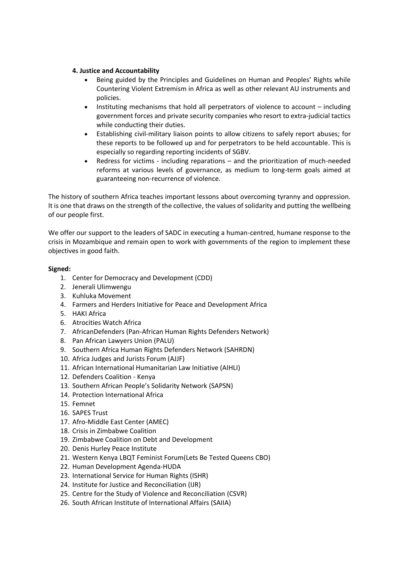## **4. Justice and Accountability**

- Being guided by the Principles and Guidelines on Human and Peoples' Rights while Countering Violent Extremism in Africa as well as other relevant AU instruments and policies.
- Instituting mechanisms that hold all perpetrators of violence to account including government forces and private security companies who resort to extra-judicial tactics while conducting their duties.
- Establishing civil-military liaison points to allow citizens to safely report abuses; for these reports to be followed up and for perpetrators to be held accountable. This is especially so regarding reporting incidents of SGBV.
- Redress for victims including reparations and the prioritization of much-needed reforms at various levels of governance, as medium to long-term goals aimed at guaranteeing non-recurrence of violence.

The history of southern Africa teaches important lessons about overcoming tyranny and oppression. It is one that draws on the strength of the collective, the values of solidarity and putting the wellbeing of our people first.

We offer our support to the leaders of SADC in executing a human-centred, humane response to the crisis in Mozambique and remain open to work with governments of the region to implement these objectives in good faith.

## **Signed:**

- 1. Center for Democracy and Development (CDD)
- 2. Jenerali Ulimwengu
- 3. Kuhluka Movement
- 4. Farmers and Herders Initiative for Peace and Development Africa
- 5. HAKI Africa
- 6. Atrocities Watch Africa
- 7. AfricanDefenders (Pan-African Human Rights Defenders Network)
- 8. Pan African Lawyers Union (PALU)
- 9. Southern Africa Human Rights Defenders Network (SAHRDN)
- 10. Africa Judges and Jurists Forum (AJJF)
- 11. African International Humanitarian Law Initiative (AIHLI)
- 12. Defenders Coalition Kenya
- 13. Southern African People's Solidarity Network (SAPSN)
- 14. Protection International Africa
- 15. Femnet
- 16. SAPES Trust
- 17. Afro-Middle East Center (AMEC)
- 18. Crisis in Zimbabwe Coalition
- 19. Zimbabwe Coalition on Debt and Development
- 20. Denis Hurley Peace Institute
- 21. Western Kenya LBQT Feminist Forum(Lets Be Tested Queens CBO)
- 22. Human Development Agenda-HUDA
- 23. International Service for Human Rights (ISHR)
- 24. Institute for Justice and Reconciliation (IJR)
- 25. Centre for the Study of Violence and Reconciliation (CSVR)
- 26. South African Institute of International Affairs (SAIIA)